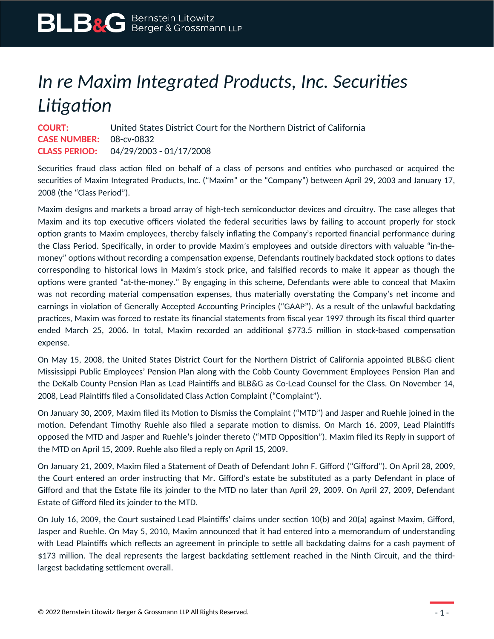## *In re Maxim Integrated Products, Inc. Securities Litigation*

**COURT:** United States District Court for the Northern District of California **CASE NUMBER:** 08-cv-0832 **CLASS PERIOD:** 04/29/2003 - 01/17/2008

Securities fraud class action filed on behalf of a class of persons and entities who purchased or acquired the securities of Maxim Integrated Products, Inc. ("Maxim" or the "Company") between April 29, 2003 and January 17, 2008 (the "Class Period").

Maxim designs and markets a broad array of high-tech semiconductor devices and circuitry. The case alleges that Maxim and its top executive officers violated the federal securities laws by failing to account properly for stock option grants to Maxim employees, thereby falsely inflating the Company's reported financial performance during the Class Period. Specifically, in order to provide Maxim's employees and outside directors with valuable "in-themoney" options without recording a compensation expense, Defendants routinely backdated stock options to dates corresponding to historical lows in Maxim's stock price, and falsified records to make it appear as though the options were granted "at-the-money." By engaging in this scheme, Defendants were able to conceal that Maxim was not recording material compensation expenses, thus materially overstating the Company's net income and earnings in violation of Generally Accepted Accounting Principles ("GAAP"). As a result of the unlawful backdating practices, Maxim was forced to restate its financial statements from fiscal year 1997 through its fiscal third quarter ended March 25, 2006. In total, Maxim recorded an additional \$773.5 million in stock-based compensation expense.

On May 15, 2008, the United States District Court for the Northern District of California appointed BLB&G client Mississippi Public Employees' Pension Plan along with the Cobb County Government Employees Pension Plan and the DeKalb County Pension Plan as Lead Plaintiffs and BLB&G as Co-Lead Counsel for the Class. On November 14, 2008, Lead Plaintiffs filed a Consolidated Class Action Complaint ("Complaint").

On January 30, 2009, Maxim filed its Motion to Dismiss the Complaint ("MTD") and Jasper and Ruehle joined in the motion. Defendant Timothy Ruehle also filed a separate motion to dismiss. On March 16, 2009, Lead Plaintiffs opposed the MTD and Jasper and Ruehle's joinder thereto ("MTD Opposition"). Maxim filed its Reply in support of the MTD on April 15, 2009. Ruehle also filed a reply on April 15, 2009.

On January 21, 2009, Maxim filed a Statement of Death of Defendant John F. Gifford ("Gifford"). On April 28, 2009, the Court entered an order instructing that Mr. Gifford's estate be substituted as a party Defendant in place of Gifford and that the Estate file its joinder to the MTD no later than April 29, 2009. On April 27, 2009, Defendant Estate of Gifford filed its joinder to the MTD.

On July 16, 2009, the Court sustained Lead Plaintiffs' claims under section 10(b) and 20(a) against Maxim, Gifford, Jasper and Ruehle. On May 5, 2010, Maxim announced that it had entered into a memorandum of understanding with Lead Plaintiffs which reflects an agreement in principle to settle all backdating claims for a cash payment of \$173 million. The deal represents the largest backdating settlement reached in the Ninth Circuit, and the thirdlargest backdating settlement overall.